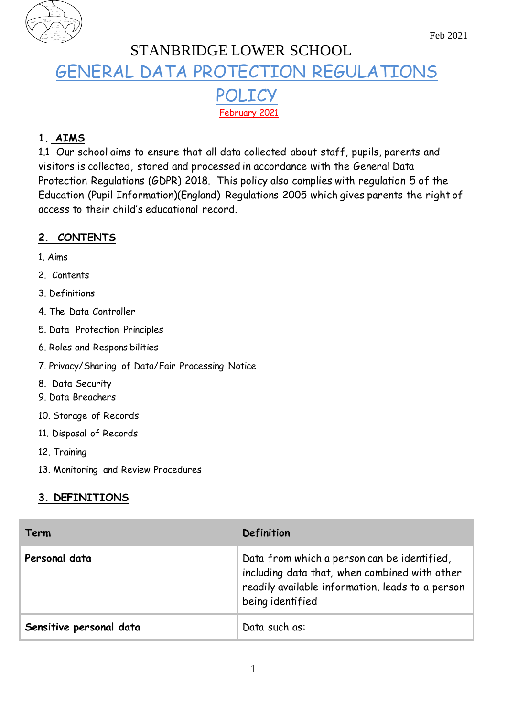

# STANBRIDGE LOWER SCHOOL GENERAL DATA PROTECTION REGULATIONS POLICY February 2021

# **1. AIMS**

1.1 Our school aims to ensure that all data collected about staff, pupils, parents and visitors is collected, stored and processed in accordance with the General Data Protection Regulations (GDPR) 2018. This policy also complies with regulation 5 of the Education (Pupil Information)(England) Regulations 2005 which gives parents the right of access to their child's educational record.

# **2. CONTENTS**

- 1. Aims
- 2. Contents
- 3. Definitions
- 4. The Data Controller
- 5. Data Protection Principles
- 6. Roles and Responsibilities
- 7. Privacy/Sharing of Data/Fair Processing Notice
- 8. Data Security
- 9. Data Breachers
- 10. Storage of Records
- 11. Disposal of Records
- 12. Training
- 13. Monitoring and Review Procedures

# **3. DEFINITIONS**

| Term                    | Definition                                                                                                                                                           |
|-------------------------|----------------------------------------------------------------------------------------------------------------------------------------------------------------------|
| Personal data           | Data from which a person can be identified,<br>including data that, when combined with other<br>readily available information, leads to a person<br>being identified |
| Sensitive personal data | Data such as:                                                                                                                                                        |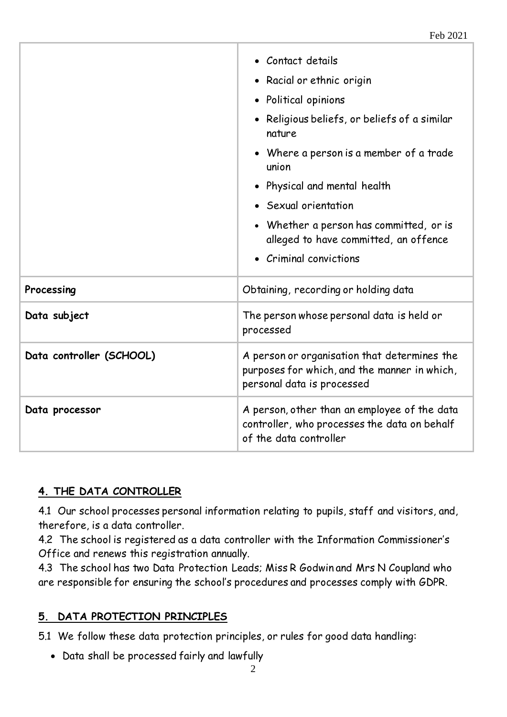|                          | • Contact details<br>• Racial or ethnic origin<br>· Political opinions<br>• Religious beliefs, or beliefs of a similar<br>nature<br>• Where a person is a member of a trade<br>union<br>• Physical and mental health<br>• Sexual orientation<br>• Whether a person has committed, or is<br>alleged to have committed, an offence<br>• Criminal convictions |  |
|--------------------------|------------------------------------------------------------------------------------------------------------------------------------------------------------------------------------------------------------------------------------------------------------------------------------------------------------------------------------------------------------|--|
| Processing               | Obtaining, recording or holding data                                                                                                                                                                                                                                                                                                                       |  |
| Data subject             | The person whose personal data is held or<br>processed                                                                                                                                                                                                                                                                                                     |  |
| Data controller (SCHOOL) | A person or organisation that determines the<br>purposes for which, and the manner in which,<br>personal data is processed                                                                                                                                                                                                                                 |  |
| Data processor           | A person, other than an employee of the data<br>controller, who processes the data on behalf<br>of the data controller                                                                                                                                                                                                                                     |  |

# **4. THE DATA CONTROLLER**

4.1 Our school processes personal information relating to pupils, staff and visitors, and, therefore, is a data controller.

4.2 The school is registered as a data controller with the Information Commissioner's Office and renews this registration annually.

4.3 The school has two Data Protection Leads; Miss R Godwin and Mrs N Coupland who are responsible for ensuring the school's procedures and processes comply with GDPR.

# **5. DATA PROTECTION PRINCIPLES**

5.1 We follow these data protection principles, or rules for good data handling:

Data shall be processed fairly and lawfully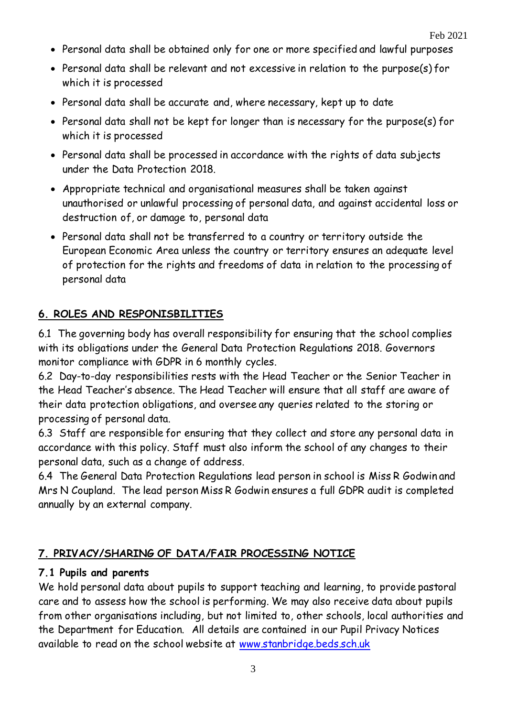- Personal data shall be obtained only for one or more specified and lawful purposes
- Personal data shall be relevant and not excessive in relation to the purpose(s) for which it is processed
- Personal data shall be accurate and, where necessary, kept up to date
- Personal data shall not be kept for longer than is necessary for the purpose(s) for which it is processed
- Personal data shall be processed in accordance with the rights of data subjects under the Data Protection 2018.
- Appropriate technical and organisational measures shall be taken against unauthorised or unlawful processing of personal data, and against accidental loss or destruction of, or damage to, personal data
- Personal data shall not be transferred to a country or territory outside the European Economic Area unless the country or territory ensures an adequate level of protection for the rights and freedoms of data in relation to the processing of personal data

# **6. ROLES AND RESPONISBILITIES**

6.1 The governing body has overall responsibility for ensuring that the school complies with its obligations under the General Data Protection Regulations 2018. Governors monitor compliance with GDPR in 6 monthly cycles.

6.2 Day-to-day responsibilities rests with the Head Teacher or the Senior Teacher in the Head Teacher's absence. The Head Teacher will ensure that all staff are aware of their data protection obligations, and oversee any queries related to the storing or processing of personal data.

6.3 Staff are responsible for ensuring that they collect and store any personal data in accordance with this policy. Staff must also inform the school of any changes to their personal data, such as a change of address.

6.4 The General Data Protection Regulations lead person in school is Miss R Godwin and Mrs N Coupland. The lead person Miss R Godwin ensures a full GDPR audit is completed annually by an external company.

# **7. PRIVACY/SHARING OF DATA/FAIR PROCESSING NOTICE**

#### **7.1 Pupils and parents**

We hold personal data about pupils to support teaching and learning, to provide pastoral care and to assess how the school is performing. We may also receive data about pupils from other organisations including, but not limited to, other schools, local authorities and the Department for Education. All details are contained in our Pupil Privacy Notices available to read on the school website at [www.stanbridge.beds.sch.uk](http://www.stanbridge.beds.sch.uk/)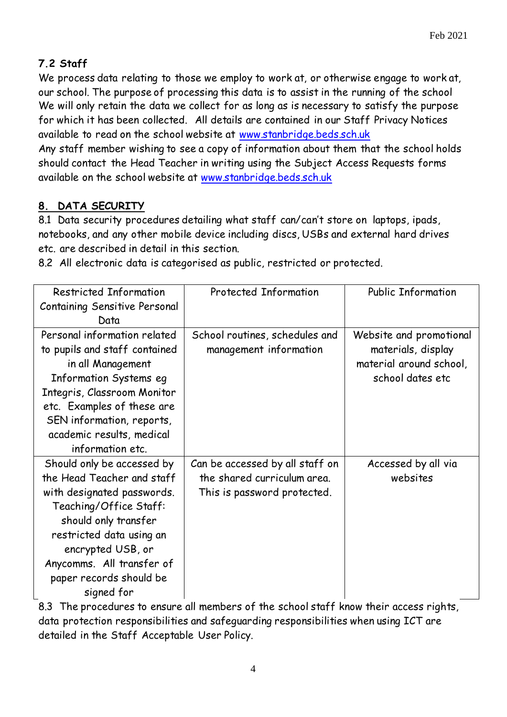# **7.2 Staff**

We process data relating to those we employ to work at, or otherwise engage to work at, our school. The purpose of processing this data is to assist in the running of the school We will only retain the data we collect for as long as is necessary to satisfy the purpose for which it has been collected. All details are contained in our Staff Privacy Notices available to read on the school website at [www.stanbridge.beds.sch.uk](http://www.stanbridge.beds.sch.uk/)

Any staff member wishing to see a copy of information about them that the school holds should contact the Head Teacher in writing using the Subject Access Requests forms available on the school website at [www.stanbridge.beds.sch.uk](http://www.stanbridge.beds.sch.uk/)

# **8. DATA SECURITY**

8.1 Data security procedures detailing what staff can/can't store on laptops, ipads, notebooks, and any other mobile device including discs, USBs and external hard drives etc. are described in detail in this section.

8.2 All electronic data is categorised as public, restricted or protected.

| Restricted Information                                                                                                                                                                                                                                          | Protected Information                                                                         | <b>Public Information</b>                                                                    |
|-----------------------------------------------------------------------------------------------------------------------------------------------------------------------------------------------------------------------------------------------------------------|-----------------------------------------------------------------------------------------------|----------------------------------------------------------------------------------------------|
| Containing Sensitive Personal                                                                                                                                                                                                                                   |                                                                                               |                                                                                              |
| Data                                                                                                                                                                                                                                                            |                                                                                               |                                                                                              |
| Personal information related<br>to pupils and staff contained<br>in all Management<br>Information Systems eg<br>Integris, Classroom Monitor<br>etc. Examples of these are<br>SEN information, reports,<br>academic results, medical<br>information etc.         | School routines, schedules and<br>management information                                      | Website and promotional<br>materials, display<br>material around school,<br>school dates etc |
| Should only be accessed by<br>the Head Teacher and staff<br>with designated passwords.<br>Teaching/Office Staff:<br>should only transfer<br>restricted data using an<br>encrypted USB, or<br>Anycomms. All transfer of<br>paper records should be<br>signed for | Can be accessed by all staff on<br>the shared curriculum area.<br>This is password protected. | Accessed by all via<br>websites                                                              |

8.3 The procedures to ensure all members of the school staff know their access rights, data protection responsibilities and safeguarding responsibilities when using ICT are detailed in the Staff Acceptable User Policy.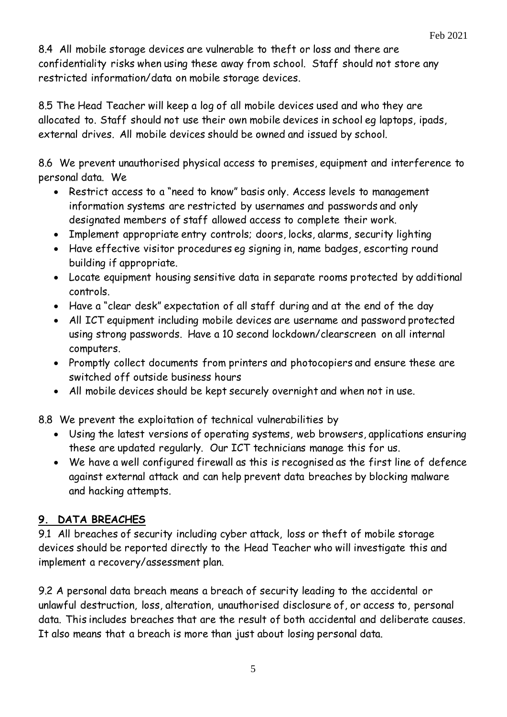8.4 All mobile storage devices are vulnerable to theft or loss and there are confidentiality risks when using these away from school. Staff should not store any restricted information/data on mobile storage devices.

8.5 The Head Teacher will keep a log of all mobile devices used and who they are allocated to. Staff should not use their own mobile devices in school eg laptops, ipads, external drives. All mobile devices should be owned and issued by school.

8.6 We prevent unauthorised physical access to premises, equipment and interference to personal data. We

- Restrict access to a "need to know" basis only. Access levels to management information systems are restricted by usernames and passwords and only designated members of staff allowed access to complete their work.
- Implement appropriate entry controls; doors, locks, alarms, security lighting
- Have effective visitor procedures eg signing in, name badges, escorting round building if appropriate.
- Locate equipment housing sensitive data in separate rooms protected by additional controls.
- Have a "clear desk" expectation of all staff during and at the end of the day
- All ICT equipment including mobile devices are username and password protected using strong passwords. Have a 10 second lockdown/clearscreen on all internal computers.
- Promptly collect documents from printers and photocopiers and ensure these are switched off outside business hours
- All mobile devices should be kept securely overnight and when not in use.

8.8 We prevent the exploitation of technical vulnerabilities by

- Using the latest versions of operating systems, web browsers, applications ensuring these are updated regularly. Our ICT technicians manage this for us.
- We have a well configured firewall as this is recognised as the first line of defence against external attack and can help prevent data breaches by blocking malware and hacking attempts.

# **9. DATA BREACHES**

9.1 All breaches of security including cyber attack, loss or theft of mobile storage devices should be reported directly to the Head Teacher who will investigate this and implement a recovery/assessment plan.

9.2 A personal data breach means a breach of security leading to the accidental or unlawful destruction, loss, alteration, unauthorised disclosure of, or access to, personal data. This includes breaches that are the result of both accidental and deliberate causes. It also means that a breach is more than just about losing personal data.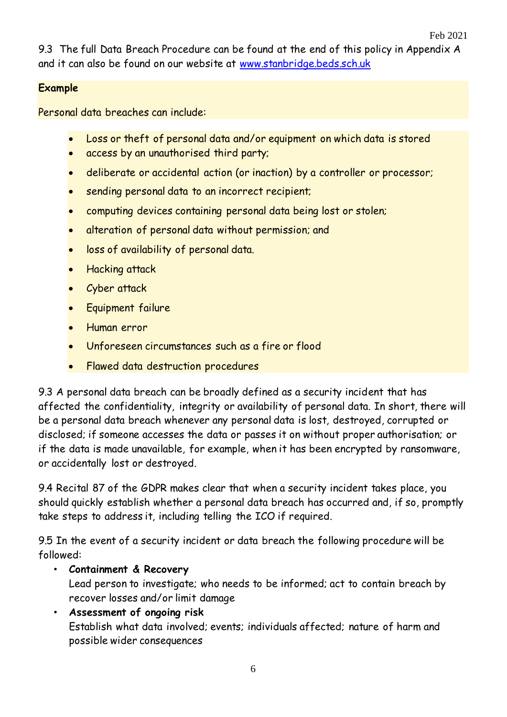9.3 The full Data Breach Procedure can be found at the end of this policy in Appendix A and it can also be found on our website at [www.stanbridge.beds.sch.uk](http://www.stanbridge.beds.sch.uk/)

#### **Example**

Personal data breaches can include:

- Loss or theft of personal data and/or equipment on which data is stored
- access by an unauthorised third party;
- deliberate or accidental action (or inaction) by a controller or processor;
- sending personal data to an incorrect recipient;
- computing devices containing personal data being lost or stolen;
- alteration of personal data without permission; and
- loss of availability of personal data.
- Hacking attack
- Cyber attack
- Equipment failure
- Human error
- Unforeseen circumstances such as a fire or flood
- Flawed data destruction procedures

9.3 A personal data breach can be broadly defined as a security incident that has affected the confidentiality, integrity or availability of personal data. In short, there will be a personal data breach whenever any personal data is lost, destroyed, corrupted or disclosed; if someone accesses the data or passes it on without proper authorisation; or if the data is made unavailable, for example, when it has been encrypted by ransomware, or accidentally lost or destroyed.

9.4 Recital 87 of the GDPR makes clear that when a security incident takes place, you should quickly establish whether a personal data breach has occurred and, if so, promptly take steps to address it, including telling the ICO if required.

9.5 In the event of a security incident or data breach the following procedure will be followed:

# • **Containment & Recovery**

Lead person to investigate; who needs to be informed; act to contain breach by recover losses and/or limit damage

• **Assessment of ongoing risk** Establish what data involved; events; individuals affected; nature of harm and possible wider consequences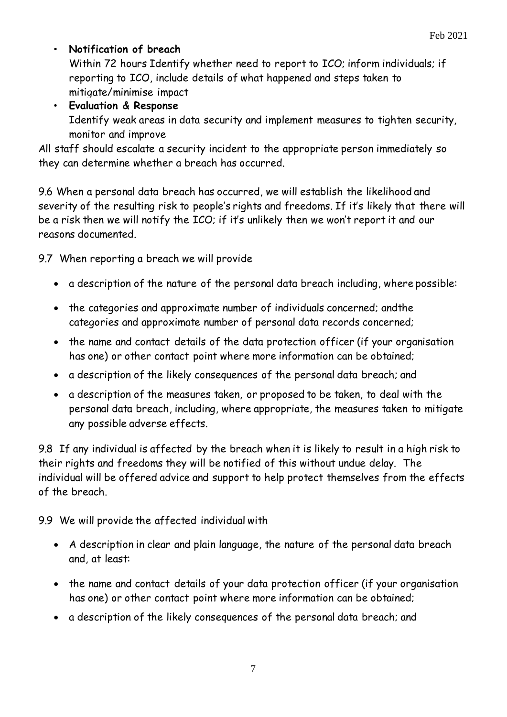# • **Notification of breach**

Within 72 hours Identify whether need to report to ICO; inform individuals; if reporting to ICO, include details of what happened and steps taken to mitigate/minimise impact

# • **Evaluation & Response**

Identify weak areas in data security and implement measures to tighten security, monitor and improve

All staff should escalate a security incident to the appropriate person immediately so they can determine whether a breach has occurred.

9.6 When a personal data breach has occurred, we will establish the likelihood and severity of the resulting risk to people's rights and freedoms. If it's likely that there will be a risk then we will notify the ICO; if it's unlikely then we won't report it and our reasons documented.

9.7 When reporting a breach we will provide

- a description of the nature of the personal data breach including, where possible:
- the categories and approximate number of individuals concerned; and the categories and approximate number of personal data records concerned;
- the name and contact details of the data protection officer (if your organisation has one) or other contact point where more information can be obtained;
- a description of the likely consequences of the personal data breach; and
- a description of the measures taken, or proposed to be taken, to deal with the personal data breach, including, where appropriate, the measures taken to mitigate any possible adverse effects.

9.8 If any individual is affected by the breach when it is likely to result in a high risk to their rights and freedoms they will be notified of this without undue delay. The individual will be offered advice and support to help protect themselves from the effects of the breach.

9.9 We will provide the affected individual with

- A description in clear and plain language, the nature of the personal data breach and, at least:
- the name and contact details of your data protection officer (if your organisation has one) or other contact point where more information can be obtained;
- a description of the likely consequences of the personal data breach; and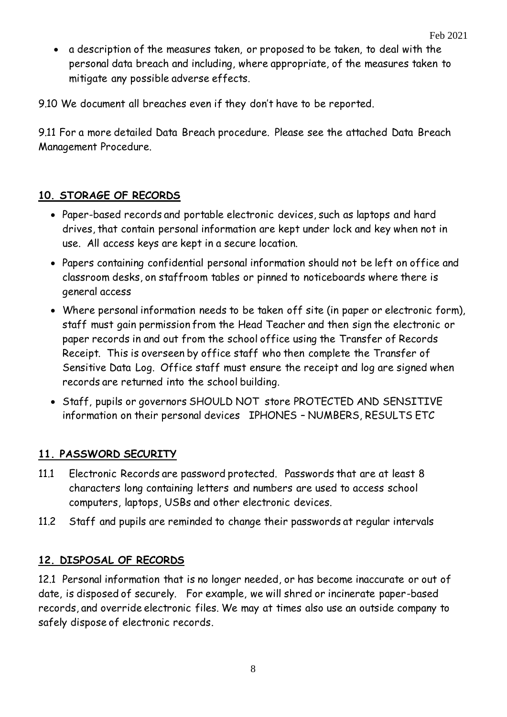a description of the measures taken, or proposed to be taken, to deal with the personal data breach and including, where appropriate, of the measures taken to mitigate any possible adverse effects.

9.10 We document all breaches even if they don't have to be reported.

9.11 For a more detailed Data Breach procedure. Please see the attached Data Breach Management Procedure.

### **10. STORAGE OF RECORDS**

- Paper-based records and portable electronic devices, such as laptops and hard drives, that contain personal information are kept under lock and key when not in use. All access keys are kept in a secure location.
- Papers containing confidential personal information should not be left on office and classroom desks, on staffroom tables or pinned to noticeboards where there is general access
- Where personal information needs to be taken off site (in paper or electronic form), staff must gain permission from the Head Teacher and then sign the electronic or paper records in and out from the school office using the Transfer of Records Receipt. This is overseen by office staff who then complete the Transfer of Sensitive Data Log. Office staff must ensure the receipt and log are signed when records are returned into the school building.
- Staff, pupils or governors SHOULD NOT store PROTECTED AND SENSITIVE information on their personal devices IPHONES – NUMBERS, RESULTS ETC

#### **11. PASSWORD SECURITY**

- 11.1 Electronic Records are password protected. Passwords that are at least 8 characters long containing letters and numbers are used to access school computers, laptops, USBs and other electronic devices.
- 11.2 Staff and pupils are reminded to change their passwords at regular intervals

#### **12. DISPOSAL OF RECORDS**

12.1 Personal information that is no longer needed, or has become inaccurate or out of date, is disposed of securely. For example, we will shred or incinerate paper-based records, and override electronic files. We may at times also use an outside company to safely dispose of electronic records.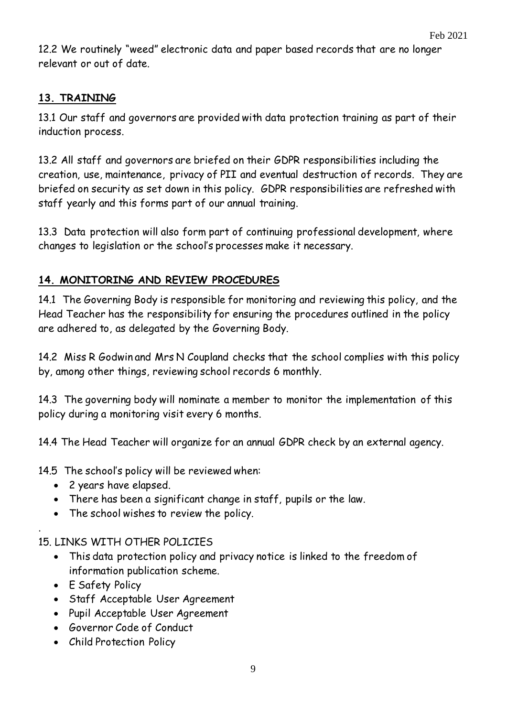12.2 We routinely "weed" electronic data and paper based records that are no longer relevant or out of date.

## **13. TRAINING**

13.1 Our staff and governors are provided with data protection training as part of their induction process.

13.2 All staff and governors are briefed on their GDPR responsibilities including the creation, use, maintenance, privacy of PII and eventual destruction of records. They are briefed on security as set down in this policy. GDPR responsibilities are refreshed with staff yearly and this forms part of our annual training.

13.3 Data protection will also form part of continuing professional development, where changes to legislation or the school's processes make it necessary.

#### **14. MONITORING AND REVIEW PROCEDURES**

14.1 The Governing Body is responsible for monitoring and reviewing this policy, and the Head Teacher has the responsibility for ensuring the procedures outlined in the policy are adhered to, as delegated by the Governing Body.

14.2 Miss R Godwin and Mrs N Coupland checks that the school complies with this policy by, among other things, reviewing school records 6 monthly.

14.3 The governing body will nominate a member to monitor the implementation of this policy during a monitoring visit every 6 months.

14.4 The Head Teacher will organize for an annual GDPR check by an external agency.

14.5 The school's policy will be reviewed when:

- 2 years have elapsed.
- There has been a significant change in staff, pupils or the law.
- The school wishes to review the policy.

#### 15. LINKS WITH OTHER POLICIES

- This data protection policy and privacy notice is linked to the freedom of information publication scheme.
- E Safety Policy

.

- Staff Acceptable User Agreement
- Pupil Acceptable User Agreement
- Governor Code of Conduct
- Child Protection Policy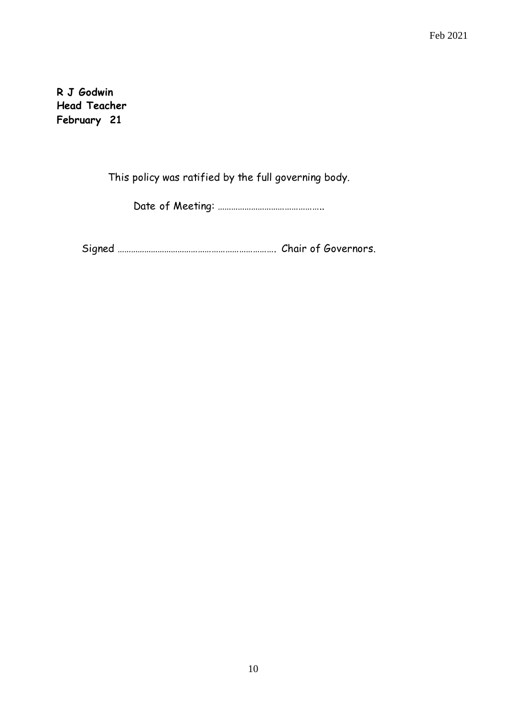Feb 2021

**R J Godwin Head Teacher February 21**

This policy was ratified by the full governing body.

Date of Meeting: ………………………………………..

Signed ……………………………………………………………. Chair of Governors.